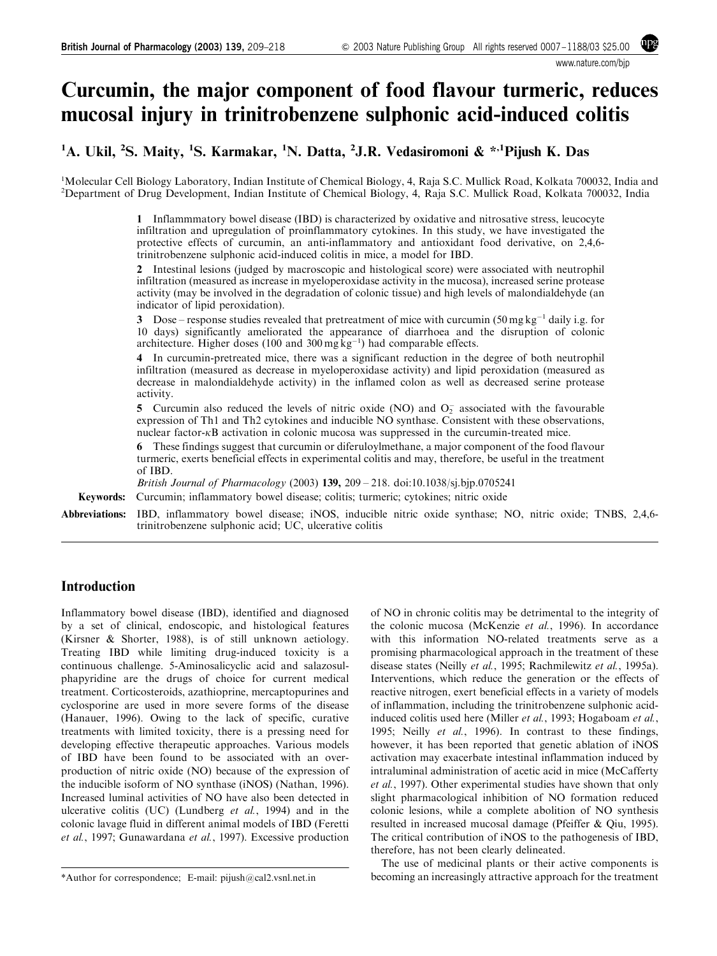www.nature.com/bjp

# Curcumin, the major component of food flavour turmeric, reduces mucosal injury in trinitrobenzene sulphonic acid-induced colitis

<sup>1</sup>A. Ukil, <sup>2</sup>S. Maity, <sup>1</sup>S. Karmakar, <sup>1</sup>N. Datta, <sup>2</sup>J.R. Vedasiromoni & \*<sup>,1</sup>Pijush K. Das

<sup>1</sup>Molecular Cell Biology Laboratory, Indian Institute of Chemical Biology, 4, Raja S.C. Mullick Road, Kolkata 700032, India and <sup>2</sup>Department of Drug Development, Indian Institute of Chemical Biology, 4, Raja S.C. Mullick Road, Kolkata 700032, India

> 1 Inflammmatory bowel disease (IBD) is characterized by oxidative and nitrosative stress, leucocyte infiltration and upregulation of proinflammatory cytokines. In this study, we have investigated the protective effects of curcumin, an anti-inflammatory and antioxidant food derivative, on 2,4,6 trinitrobenzene sulphonic acid-induced colitis in mice, a model for IBD.

> 2 Intestinal lesions (judged by macroscopic and histological score) were associated with neutrophil infiltration (measured as increase in myeloperoxidase activity in the mucosa), increased serine protease activity (may be involved in the degradation of colonic tissue) and high levels of malondialdehyde (an indicator of lipid peroxidation).

> 3 Dose – response studies revealed that pretreatment of mice with curcumin  $(50 \text{ mg kg}^{-1}$  daily i.g. for 10 days) significantly ameliorated the appearance of diarrhoea and the disruption of colonic architecture. Higher doses (100 and 300 mg  $kg^{-1}$ ) had comparable effects.

> 4 In curcumin-pretreated mice, there was a significant reduction in the degree of both neutrophil infiltration (measured as decrease in myeloperoxidase activity) and lipid peroxidation (measured as decrease in malondialdehyde activity) in the inflamed colon as well as decreased serine protease activity.

> 5 Curcumin also reduced the levels of nitric oxide (NO) and  $O<sub>2</sub>$  associated with the favourable expression of Th1 and Th2 cytokines and inducible NO synthase. Consistent with these observations, nuclear factor- $\kappa$ B activation in colonic mucosa was suppressed in the curcumin-treated mice.

> 6 These findings suggest that curcumin or diferuloylmethane, a major component of the food flavour turmeric, exerts beneficial effects in experimental colitis and may, therefore, be useful in the treatment of IBD.

British Journal of Pharmacology (2003) 139, 209 – 218. doi:10.1038/sj.bjp.0705241

Keywords: Curcumin; inflammatory bowel disease; colitis; turmeric; cytokines; nitric oxide

Abbreviations: IBD, inflammatory bowel disease; iNOS, inducible nitric oxide synthase; NO, nitric oxide; TNBS, 2,4,6 trinitrobenzene sulphonic acid; UC, ulcerative colitis

# Introduction

Inflammatory bowel disease (IBD), identified and diagnosed by a set of clinical, endoscopic, and histological features (Kirsner & Shorter, 1988), is of still unknown aetiology. Treating IBD while limiting drug-induced toxicity is a continuous challenge. 5-Aminosalicyclic acid and salazosulphapyridine are the drugs of choice for current medical treatment. Corticosteroids, azathioprine, mercaptopurines and cyclosporine are used in more severe forms of the disease (Hanauer, 1996). Owing to the lack of specific, curative treatments with limited toxicity, there is a pressing need for developing effective therapeutic approaches. Various models of IBD have been found to be associated with an overproduction of nitric oxide (NO) because of the expression of the inducible isoform of NO synthase (iNOS) (Nathan, 1996). Increased luminal activities of NO have also been detected in ulcerative colitis (UC) (Lundberg et al., 1994) and in the colonic lavage fluid in different animal models of IBD (Feretti et al., 1997; Gunawardana et al., 1997). Excessive production of NO in chronic colitis may be detrimental to the integrity of the colonic mucosa (McKenzie et al., 1996). In accordance with this information NO-related treatments serve as a promising pharmacological approach in the treatment of these disease states (Neilly et al., 1995; Rachmilewitz et al., 1995a). Interventions, which reduce the generation or the effects of reactive nitrogen, exert beneficial effects in a variety of models of inflammation, including the trinitrobenzene sulphonic acidinduced colitis used here (Miller et al., 1993; Hogaboam et al., 1995; Neilly et al., 1996). In contrast to these findings, however, it has been reported that genetic ablation of iNOS activation may exacerbate intestinal inflammation induced by intraluminal administration of acetic acid in mice (McCafferty et al., 1997). Other experimental studies have shown that only slight pharmacological inhibition of NO formation reduced colonic lesions, while a complete abolition of NO synthesis resulted in increased mucosal damage (Pfeiffer & Qiu, 1995). The critical contribution of iNOS to the pathogenesis of IBD, therefore, has not been clearly delineated.

The use of medicinal plants or their active components is \*Author for correspondence; E-mail: pijush@cal2.vsnl.net.in becoming an increasingly attractive approach for the treatment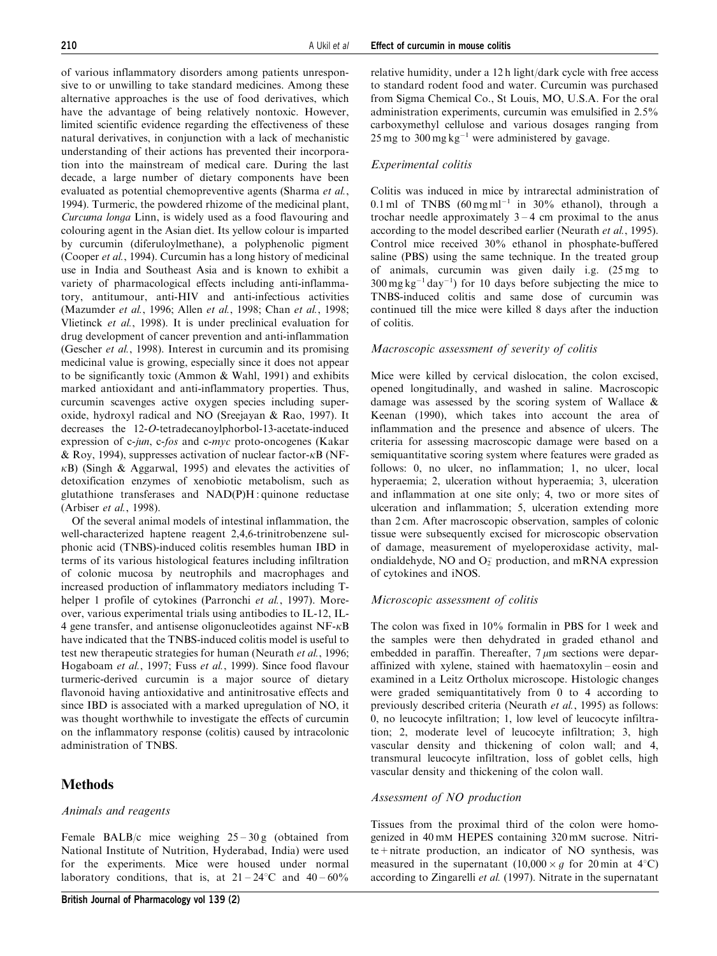of various inflammatory disorders among patients unresponsive to or unwilling to take standard medicines. Among these alternative approaches is the use of food derivatives, which have the advantage of being relatively nontoxic. However, limited scientific evidence regarding the effectiveness of these natural derivatives, in conjunction with a lack of mechanistic understanding of their actions has prevented their incorporation into the mainstream of medical care. During the last decade, a large number of dietary components have been evaluated as potential chemopreventive agents (Sharma et al., 1994). Turmeric, the powdered rhizome of the medicinal plant, Curcuma longa Linn, is widely used as a food flavouring and colouring agent in the Asian diet. Its yellow colour is imparted by curcumin (diferuloylmethane), a polyphenolic pigment (Cooper et al., 1994). Curcumin has a long history of medicinal use in India and Southeast Asia and is known to exhibit a variety of pharmacological effects including anti-inflammatory, antitumour, anti-HIV and anti-infectious activities (Mazumder et al., 1996; Allen et al., 1998; Chan et al., 1998; Vlietinck et al., 1998). It is under preclinical evaluation for drug development of cancer prevention and anti-inflammation (Gescher et al., 1998). Interest in curcumin and its promising medicinal value is growing, especially since it does not appear to be significantly toxic (Ammon & Wahl, 1991) and exhibits marked antioxidant and anti-inflammatory properties. Thus, curcumin scavenges active oxygen species including superoxide, hydroxyl radical and NO (Sreejayan & Rao, 1997). It decreases the 12-O-tetradecanoylphorbol-13-acetate-induced expression of c-jun, c-fos and c-myc proto-oncogenes (Kakar & Roy, 1994), suppresses activation of nuclear factor- $\kappa$ B (NF- $\kappa$ B) (Singh & Aggarwal, 1995) and elevates the activities of detoxification enzymes of xenobiotic metabolism, such as glutathione transferases and NAD(P)H : quinone reductase (Arbiser et al., 1998).

Of the several animal models of intestinal inflammation, the well-characterized haptene reagent 2,4,6-trinitrobenzene sulphonic acid (TNBS)-induced colitis resembles human IBD in terms of its various histological features including infiltration of colonic mucosa by neutrophils and macrophages and increased production of inflammatory mediators including Thelper 1 profile of cytokines (Parronchi et al., 1997). Moreover, various experimental trials using antibodies to IL-12, IL-4 gene transfer, and antisense oligonucleotides against  $NF-\kappa B$ have indicated that the TNBS-induced colitis model is useful to test new therapeutic strategies for human (Neurath et al., 1996; Hogaboam et al., 1997; Fuss et al., 1999). Since food flavour turmeric-derived curcumin is a major source of dietary flavonoid having antioxidative and antinitrosative effects and since IBD is associated with a marked upregulation of NO, it was thought worthwhile to investigate the effects of curcumin on the inflammatory response (colitis) caused by intracolonic administration of TNBS.

# Methods

# Animals and reagents

Female BALB/c mice weighing  $25 - 30$  g (obtained from National Institute of Nutrition, Hyderabad, India) were used for the experiments. Mice were housed under normal laboratory conditions, that is, at  $21 - 24$ °C and  $40 - 60\%$ 

relative humidity, under a 12 h light/dark cycle with free access to standard rodent food and water. Curcumin was purchased from Sigma Chemical Co., St Louis, MO, U.S.A. For the oral administration experiments, curcumin was emulsified in 2.5% carboxymethyl cellulose and various dosages ranging from  $25 \text{ mg}$  to  $300 \text{ mg} \text{ kg}^{-1}$  were administered by gavage.

# Experimental colitis

Colitis was induced in mice by intrarectal administration of 0.1 ml of TNBS  $(60 \text{ mg m1}^{-1} \text{ in } 30\%$  ethanol), through a trochar needle approximately  $3 - 4$  cm proximal to the anus according to the model described earlier (Neurath et al., 1995). Control mice received 30% ethanol in phosphate-buffered saline (PBS) using the same technique. In the treated group of animals, curcumin was given daily i.g. (25 mg to  $300 \text{ mg} \text{ kg}^{-1} \text{ day}^{-1}$ ) for 10 days before subjecting the mice to TNBS-induced colitis and same dose of curcumin was continued till the mice were killed 8 days after the induction of colitis.

# Macroscopic assessment of severity of colitis

Mice were killed by cervical dislocation, the colon excised, opened longitudinally, and washed in saline. Macroscopic damage was assessed by the scoring system of Wallace & Keenan (1990), which takes into account the area of inflammation and the presence and absence of ulcers. The criteria for assessing macroscopic damage were based on a semiquantitative scoring system where features were graded as follows: 0, no ulcer, no inflammation; 1, no ulcer, local hyperaemia; 2, ulceration without hyperaemia; 3, ulceration and inflammation at one site only; 4, two or more sites of ulceration and inflammation; 5, ulceration extending more than 2 cm. After macroscopic observation, samples of colonic tissue were subsequently excised for microscopic observation of damage, measurement of myeloperoxidase activity, malondialdehyde, NO and  $O_2^-$  production, and mRNA expression of cytokines and iNOS.

# Microscopic assessment of colitis

The colon was fixed in 10% formalin in PBS for 1 week and the samples were then dehydrated in graded ethanol and embedded in paraffin. Thereafter,  $7 \mu m$  sections were deparaffinized with xylene, stained with haematoxylin – eosin and examined in a Leitz Ortholux microscope. Histologic changes were graded semiquantitatively from 0 to 4 according to previously described criteria (Neurath et al., 1995) as follows: 0, no leucocyte infiltration; 1, low level of leucocyte infiltration; 2, moderate level of leucocyte infiltration; 3, high vascular density and thickening of colon wall; and 4, transmural leucocyte infiltration, loss of goblet cells, high vascular density and thickening of the colon wall.

# Assessment of NO production

Tissues from the proximal third of the colon were homogenized in 40 mM HEPES containing 320 mM sucrose. Nitrite+nitrate production, an indicator of NO synthesis, was measured in the supernatant  $(10,000 \times g)$  for 20 min at 4°C) according to Zingarelli et al. (1997). Nitrate in the supernatant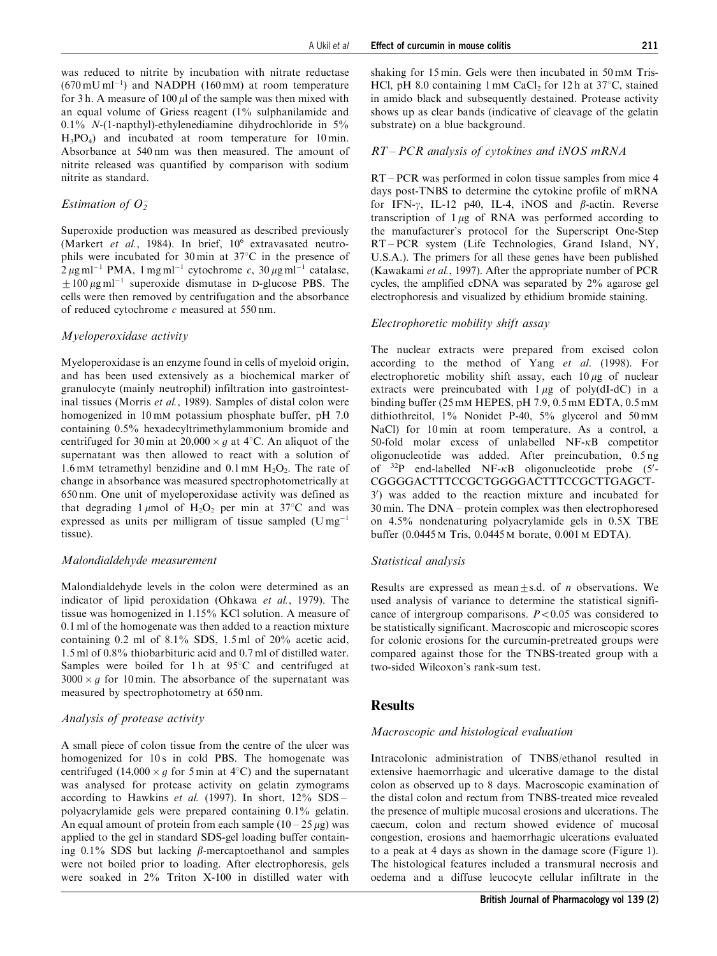was reduced to nitrite by incubation with nitrate reductase  $(670 \,\mathrm{mU\,ml^{-1}})$  and NADPH (160 mM) at room temperature for 3 h. A measure of 100  $\mu$  of the sample was then mixed with an equal volume of Griess reagent (1% sulphanilamide and 0.1% N-(1-napthyl)-ethylenediamine dihydrochloride in 5%  $H_3PO_4$ ) and incubated at room temperature for 10 min. Absorbance at 540 nm was then measured. The amount of nitrite released was quantified by comparison with sodium nitrite as standard.

# Estimation of  $O_2^-$

Superoxide production was measured as described previously (Markert et al., 1984). In brief, 10<sup>6</sup> extravasated neutrophils were incubated for  $30 \text{ min}$  at  $37^{\circ}$ C in the presence of  $2 \mu$ g ml<sup>-1</sup> PMA, 1 mg ml<sup>-1</sup> cytochrome c, 30  $\mu$ g ml<sup>-1</sup> catalase,  $\pm 100 \,\mu$ g ml<sup>-1</sup> superoxide dismutase in D-glucose PBS. The cells were then removed by centrifugation and the absorbance of reduced cytochrome c measured at 550 nm.

# Myeloperoxidase activity

Myeloperoxidase is an enzyme found in cells of myeloid origin, and has been used extensively as a biochemical marker of granulocyte (mainly neutrophil) infiltration into gastrointestinal tissues (Morris et al., 1989). Samples of distal colon were homogenized in 10 mM potassium phosphate buffer, pH 7.0 containing 0.5% hexadecyltrimethylammonium bromide and centrifuged for 30 min at  $20,000 \times g$  at 4°C. An aliquot of the supernatant was then allowed to react with a solution of 1.6 mM tetramethyl benzidine and 0.1 mM  $H_2O_2$ . The rate of change in absorbance was measured spectrophotometrically at 650 nm. One unit of myeloperoxidase activity was defined as that degrading 1  $\mu$ mol of H<sub>2</sub>O<sub>2</sub> per min at 37<sup>o</sup>C and was expressed as units per milligram of tissue sampled  $(Umg^{-1})$ tissue).

#### Malondialdehyde measurement

Malondialdehyde levels in the colon were determined as an indicator of lipid peroxidation (Ohkawa et al., 1979). The tissue was homogenized in 1.15% KCl solution. A measure of 0.1 ml of the homogenate was then added to a reaction mixture containing 0.2 ml of 8.1% SDS, 1.5 ml of 20% acetic acid, 1.5 ml of 0.8% thiobarbituric acid and 0.7 ml of distilled water. Samples were boiled for 1 h at  $95^{\circ}$ C and centrifuged at  $3000 \times g$  for 10 min. The absorbance of the supernatant was measured by spectrophotometry at 650 nm.

### Analysis of protease activity

A small piece of colon tissue from the centre of the ulcer was homogenized for 10s in cold PBS. The homogenate was centrifuged  $(14,000 \times g$  for 5 min at 4°C) and the supernatant was analysed for protease activity on gelatin zymograms according to Hawkins et al. (1997). In short,  $12\%$  SDS – polyacrylamide gels were prepared containing 0.1% gelatin. An equal amount of protein from each sample  $(10 - 25 \mu g)$  was applied to the gel in standard SDS-gel loading buffer containing  $0.1\%$  SDS but lacking  $\beta$ -mercaptoethanol and samples were not boiled prior to loading. After electrophoresis, gels were soaked in 2% Triton X-100 in distilled water with shaking for 15 min. Gels were then incubated in 50 mM Tris-HCl, pH 8.0 containing 1 mM CaCl, for 12 h at  $37^{\circ}$ C, stained in amido black and subsequently destained. Protease activity shows up as clear bands (indicative of cleavage of the gelatin substrate) on a blue background.

### RT – PCR analysis of cytokines and iNOS mRNA

RT – PCR was performed in colon tissue samples from mice 4 days post-TNBS to determine the cytokine profile of mRNA for IFN- $\gamma$ , IL-12 p40, IL-4, iNOS and  $\beta$ -actin. Reverse transcription of  $1 \mu$ g of RNA was performed according to the manufacturer's protocol for the Superscript One-Step RT – PCR system (Life Technologies, Grand Island, NY, U.S.A.). The primers for all these genes have been published (Kawakami et al., 1997). After the appropriate number of PCR cycles, the amplified cDNA was separated by 2% agarose gel electrophoresis and visualized by ethidium bromide staining.

#### Electrophoretic mobility shift assay

The nuclear extracts were prepared from excised colon according to the method of Yang et al. (1998). For electrophoretic mobility shift assay, each  $10 \mu$ g of nuclear extracts were preincubated with  $1 \mu$ g of poly(dI-dC) in a binding buffer (25 mM HEPES, pH 7.9, 0.5 mM EDTA, 0.5 mM dithiothreitol, 1% Nonidet P-40, 5% glycerol and 50 mM NaCl) for 10 min at room temperature. As a control, a 50-fold molar excess of unlabelled  $NF-\kappa B$  competitor oligonucleotide was added. After preincubation, 0.5 ng of  $32P$  end-labelled NF- $\kappa$ B oligonucleotide probe (5'-CGGGGACTTTCCGCTGGGGACTTTCCGCTTGAGCT-3 0 ) was added to the reaction mixture and incubated for 30 min. The DNA – protein complex was then electrophoresed on 4.5% nondenaturing polyacrylamide gels in 0.5X TBE buffer (0.0445 M Tris, 0.0445 M borate, 0.001 M EDTA).

#### Statistical analysis

Results are expressed as mean $\pm$ s.d. of *n* observations. We used analysis of variance to determine the statistical significance of intergroup comparisons.  $P < 0.05$  was considered to be statistically significant. Macroscopic and microscopic scores for colonic erosions for the curcumin-pretreated groups were compared against those for the TNBS-treated group with a two-sided Wilcoxon's rank-sum test.

# **Results**

#### Macroscopic and histological evaluation

Intracolonic administration of TNBS/ethanol resulted in extensive haemorrhagic and ulcerative damage to the distal colon as observed up to 8 days. Macroscopic examination of the distal colon and rectum from TNBS-treated mice revealed the presence of multiple mucosal erosions and ulcerations. The caecum, colon and rectum showed evidence of mucosal congestion, erosions and haemorrhagic ulcerations evaluated to a peak at 4 days as shown in the damage score (Figure 1). The histological features included a transmural necrosis and oedema and a diffuse leucocyte cellular infiltrate in the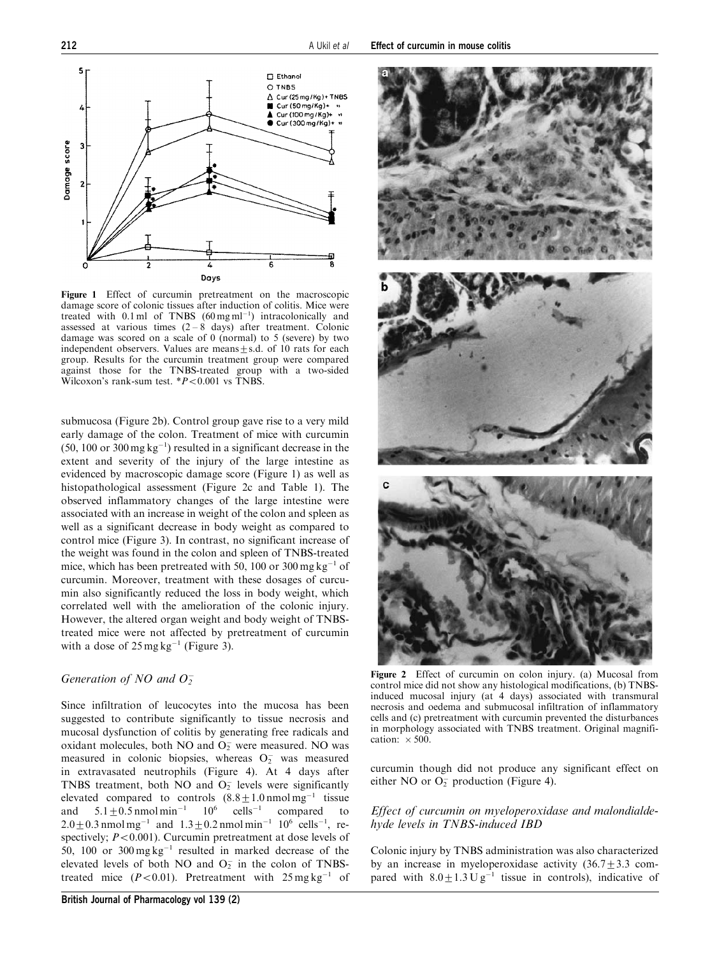

Figure 1 Effect of curcumin pretreatment on the macroscopic damage score of colonic tissues after induction of colitis. Mice were treated with  $0.1 \text{ ml}$  of TNBS  $(60 \text{ mg ml}^{-1})$  intracolonically and assessed at various times  $(2 - 8 \text{ days})$  after treatment. Colonic damage was scored on a scale of 0 (normal) to 5 (severe) by two independent observers. Values are means $\pm$ s.d. of 10 rats for each group. Results for the curcumin treatment group were compared against those for the TNBS-treated group with a two-sided Wilcoxon's rank-sum test.  $*P<0.001$  vs TNBS.

submucosa (Figure 2b). Control group gave rise to a very mild early damage of the colon. Treatment of mice with curcumin  $(50, 100 \text{ or } 300 \text{ mg kg}^{-1})$  resulted in a significant decrease in the extent and severity of the injury of the large intestine as evidenced by macroscopic damage score (Figure 1) as well as histopathological assessment (Figure 2c and Table 1). The observed inflammatory changes of the large intestine were associated with an increase in weight of the colon and spleen as well as a significant decrease in body weight as compared to control mice (Figure 3). In contrast, no significant increase of the weight was found in the colon and spleen of TNBS-treated mice, which has been pretreated with 50, 100 or 300 mg kg<sup>-1</sup> of curcumin. Moreover, treatment with these dosages of curcumin also significantly reduced the loss in body weight, which correlated well with the amelioration of the colonic injury. However, the altered organ weight and body weight of TNBStreated mice were not affected by pretreatment of curcumin with a dose of  $25 \text{ mg} \text{ kg}^{-1}$  (Figure 3).

# Generation of NO and  $O_2^-$

Since infiltration of leucocytes into the mucosa has been suggested to contribute significantly to tissue necrosis and mucosal dysfunction of colitis by generating free radicals and oxidant molecules, both NO and  $O<sub>2</sub>$  were measured. NO was measured in colonic biopsies, whereas  $O<sub>2</sub>$  was measured in extravasated neutrophils (Figure 4). At 4 days after TNBS treatment, both  $\overline{NO}$  and  $\overline{O_2}$  levels were significantly elevated compared to controls  $(8.8 \pm 1.0 \text{ nmol mg}^{-1})$  tissue and  $5.1 \pm 0.5$  nmol min<sup>-1</sup>  $10^6$  cells<sup>-1</sup> compared to  $2.0 \pm 0.3$  nmol mg<sup>-1</sup> and  $1.3 \pm 0.2$  nmol min<sup>-1</sup> 10<sup>6</sup> cells<sup>-1</sup>, respectively;  $P < 0.001$ ). Curcumin pretreatment at dose levels of 50, 100 or  $300 \text{ mg} \text{ kg}^{-1}$  resulted in marked decrease of the elevated levels of both NO and  $O<sub>2</sub>$  in the colon of TNBStreated mice  $(P<0.01)$ . Pretreatment with  $25 \text{ mg kg}^{-1}$  of



Figure 2 Effect of curcumin on colon injury. (a) Mucosal from control mice did not show any histological modifications, (b) TNBSinduced mucosal injury (at 4 days) associated with transmural necrosis and oedema and submucosal infiltration of inflammatory cells and (c) pretreatment with curcumin prevented the disturbances in morphology associated with TNBS treatment. Original magnification:  $\times 500$ .

curcumin though did not produce any significant effect on either NO or  $O_2^-$  production (Figure 4).

### Effect of curcumin on myeloperoxidase and malondialdehyde levels in TNBS-induced IBD

Colonic injury by TNBS administration was also characterized by an increase in myeloperoxidase activity  $(36.7 \pm 3.3 \text{ com-}$ pared with  $8.0 \pm 1.3 \text{ U g}^{-1}$  tissue in controls), indicative of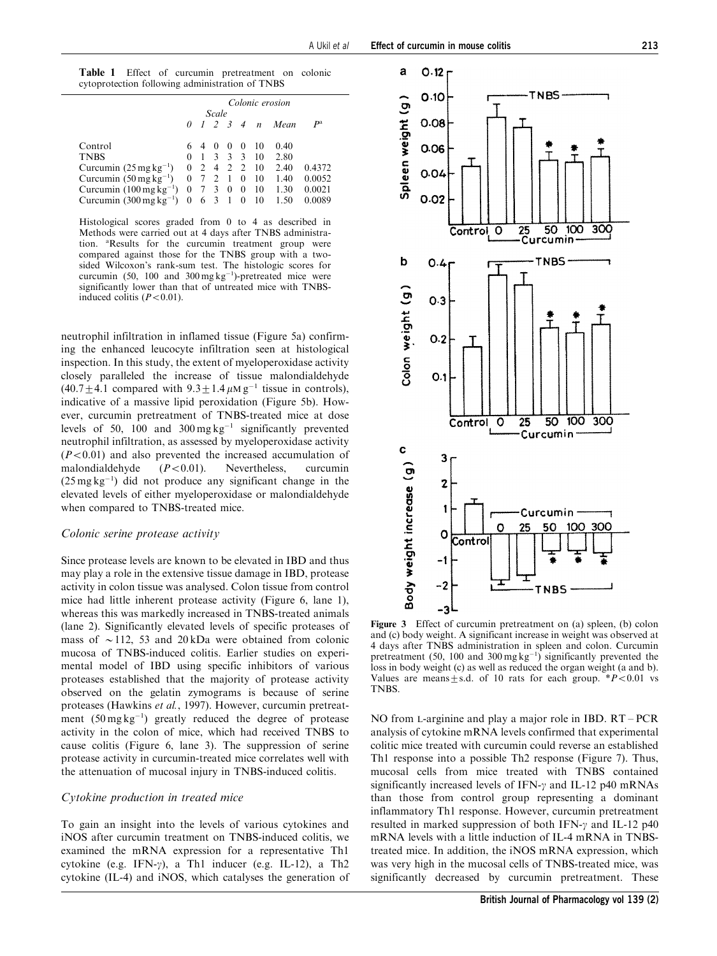|                                                 | Colonic erosion |      |              |                |                |            |                       |             |
|-------------------------------------------------|-----------------|------|--------------|----------------|----------------|------------|-----------------------|-------------|
|                                                 | Scale           |      |              |                |                |            |                       |             |
|                                                 |                 |      |              |                |                |            | 0 1 2 3 4 n Mean      | $P^{\rm a}$ |
| Control                                         |                 | 640  |              | $\theta$       | $\theta$       | 10         | 0.40                  |             |
| <b>TNBS</b>                                     |                 | $-1$ | $\mathbf{3}$ | $\overline{3}$ | $\mathcal{R}$  | 10         | 2.80                  |             |
| Curcumin $(25 \text{ mg kg}^{-1})$              | $\Omega$        |      |              |                |                | 2 4 2 2 10 | 2.40                  | 0.4372      |
| Curcumin $(50 \,\mathrm{mg}\,\mathrm{kg}^{-1})$ |                 |      |              |                | $\overline{0}$ | 10         | 1.40                  | 0.0052      |
| Curcumin $(100 \,\text{mgkg}^{-1})$             | 0               |      | 3            | $\mathbf{0}$   | $\overline{0}$ | - 10       | 1.30                  | 0.0021      |
| Curcumin $(300 \,\mathrm{mg\,kg^{-1}})$         | $\mathbf{0}$    |      | 6 3 1        |                |                |            | $0\quad 10\quad 1.50$ | 0.0089      |

Histological scores graded from 0 to 4 as described in Methods were carried out at 4 days after TNBS administration. <sup>a</sup>Results for the curcumin treatment group were compared against those for the TNBS group with a twosided Wilcoxon's rank-sum test. The histologic scores for curcumin (50, 100 and  $300 \text{ mg kg}^{-1}$ )-pretreated mice were significantly lower than that of untreated mice with TNBSinduced colitis  $(P<0.01)$ .

neutrophil infiltration in inflamed tissue (Figure 5a) confirming the enhanced leucocyte infiltration seen at histological inspection. In this study, the extent of myeloperoxidase activity closely paralleled the increase of tissue malondialdehyde  $(40.7 \pm 4.1$  compared with  $9.3 \pm 1.4 \mu$ M g<sup>-1</sup> tissue in controls), indicative of a massive lipid peroxidation (Figure 5b). However, curcumin pretreatment of TNBS-treated mice at dose levels of 50, 100 and  $300 \text{ mg} \text{ kg}^{-1}$  significantly prevented neutrophil infiltration, as assessed by myeloperoxidase activity  $(P<0.01)$  and also prevented the increased accumulation of malondialdehyde  $(P<0.01)$ . Nevertheless, curcumin  $(25 \text{ mg kg}^{-1})$  did not produce any significant change in the elevated levels of either myeloperoxidase or malondialdehyde when compared to TNBS-treated mice.

#### Colonic serine protease activity

Since protease levels are known to be elevated in IBD and thus may play a role in the extensive tissue damage in IBD, protease activity in colon tissue was analysed. Colon tissue from control mice had little inherent protease activity (Figure 6, lane 1), whereas this was markedly increased in TNBS-treated animals (lane 2). Significantly elevated levels of specific proteases of mass of  $\sim$  112, 53 and 20 kDa were obtained from colonic mucosa of TNBS-induced colitis. Earlier studies on experimental model of IBD using specific inhibitors of various proteases established that the majority of protease activity observed on the gelatin zymograms is because of serine proteases (Hawkins et al., 1997). However, curcumin pretreatment  $(50 \text{ mg kg}^{-1})$  greatly reduced the degree of protease activity in the colon of mice, which had received TNBS to cause colitis (Figure 6, lane 3). The suppression of serine protease activity in curcumin-treated mice correlates well with the attenuation of mucosal injury in TNBS-induced colitis.

### Cytokine production in treated mice

To gain an insight into the levels of various cytokines and iNOS after curcumin treatment on TNBS-induced colitis, we examined the mRNA expression for a representative Th1 cytokine (e.g. IFN- $\gamma$ ), a Th1 inducer (e.g. IL-12), a Th2 cytokine (IL-4) and iNOS, which catalyses the generation of



Figure 3 Effect of curcumin pretreatment on (a) spleen, (b) colon and (c) body weight. A significant increase in weight was observed at 4 days after TNBS administration in spleen and colon. Curcumin pretreatment  $(50, 100 \text{ and } 300 \text{ mg kg}^{-1})$  significantly prevented the loss in body weight (c) as well as reduced the organ weight (a and b). Values are means $\pm$ s.d. of 10 rats for each group. \*P<0.01 vs **TNBS** 

NO from L-arginine and play a major role in IBD. RT – PCR analysis of cytokine mRNA levels confirmed that experimental colitic mice treated with curcumin could reverse an established Th1 response into a possible Th2 response (Figure 7). Thus, mucosal cells from mice treated with TNBS contained significantly increased levels of IFN- $\gamma$  and IL-12 p40 mRNAs than those from control group representing a dominant inflammatory Th1 response. However, curcumin pretreatment resulted in marked suppression of both IFN- $\gamma$  and IL-12 p40 mRNA levels with a little induction of IL-4 mRNA in TNBStreated mice. In addition, the iNOS mRNA expression, which was very high in the mucosal cells of TNBS-treated mice, was significantly decreased by curcumin pretreatment. These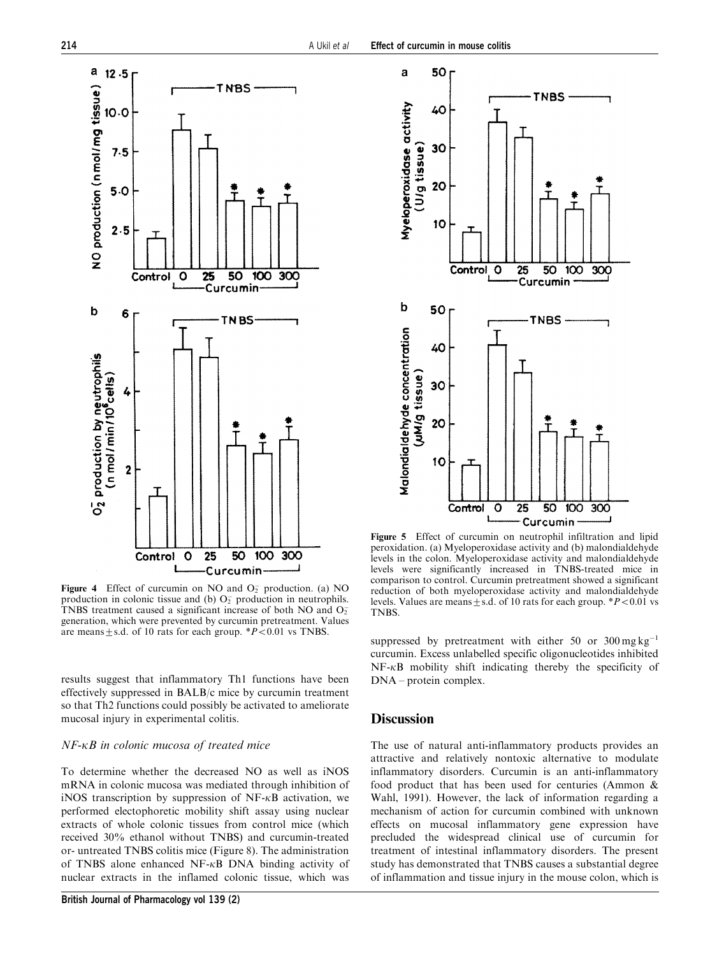

Figure 4 Effect of curcumin on NO and  $O_2^-$  production. (a) NO production in colonic tissue and (b)  $O_2^-$  production in neutrophils. TNBS treatment caused a significant increase of both NO and  $O<sub>2</sub>$ generation, which were prevented by curcumin pretreatment. Values are means  $\pm$  s.d. of 10 rats for each group. \* $P \le 0.01$  vs TNBS.

results suggest that inflammatory Th1 functions have been effectively suppressed in BALB/c mice by curcumin treatment so that Th2 functions could possibly be activated to ameliorate mucosal injury in experimental colitis.

#### $NF$ - $\kappa$ B in colonic mucosa of treated mice

To determine whether the decreased NO as well as iNOS mRNA in colonic mucosa was mediated through inhibition of iNOS transcription by suppression of  $NF-\kappa B$  activation, we performed electophoretic mobility shift assay using nuclear extracts of whole colonic tissues from control mice (which received 30% ethanol without TNBS) and curcumin-treated or- untreated TNBS colitis mice (Figure 8). The administration of TNBS alone enhanced  $NF-\kappa B$  DNA binding activity of nuclear extracts in the inflamed colonic tissue, which was



Figure 5 Effect of curcumin on neutrophil infiltration and lipid peroxidation. (a) Myeloperoxidase activity and (b) malondialdehyde levels in the colon. Myeloperoxidase activity and malondialdehyde levels were significantly increased in TNBS-treated mice in comparison to control. Curcumin pretreatment showed a significant reduction of both myeloperoxidase activity and malondialdehyde levels. Values are means $\pm$ s.d. of 10 rats for each group. \* $P<0.01$  vs TNBS.

suppressed by pretreatment with either 50 or  $300 \,\text{mg}\,\text{kg}^{-1}$ curcumin. Excess unlabelled specific oligonucleotides inhibited  $NF-\kappa B$  mobility shift indicating thereby the specificity of DNA – protein complex.

# **Discussion**

The use of natural anti-inflammatory products provides an attractive and relatively nontoxic alternative to modulate inflammatory disorders. Curcumin is an anti-inflammatory food product that has been used for centuries (Ammon & Wahl, 1991). However, the lack of information regarding a mechanism of action for curcumin combined with unknown effects on mucosal inflammatory gene expression have precluded the widespread clinical use of curcumin for treatment of intestinal inflammatory disorders. The present study has demonstrated that TNBS causes a substantial degree of inflammation and tissue injury in the mouse colon, which is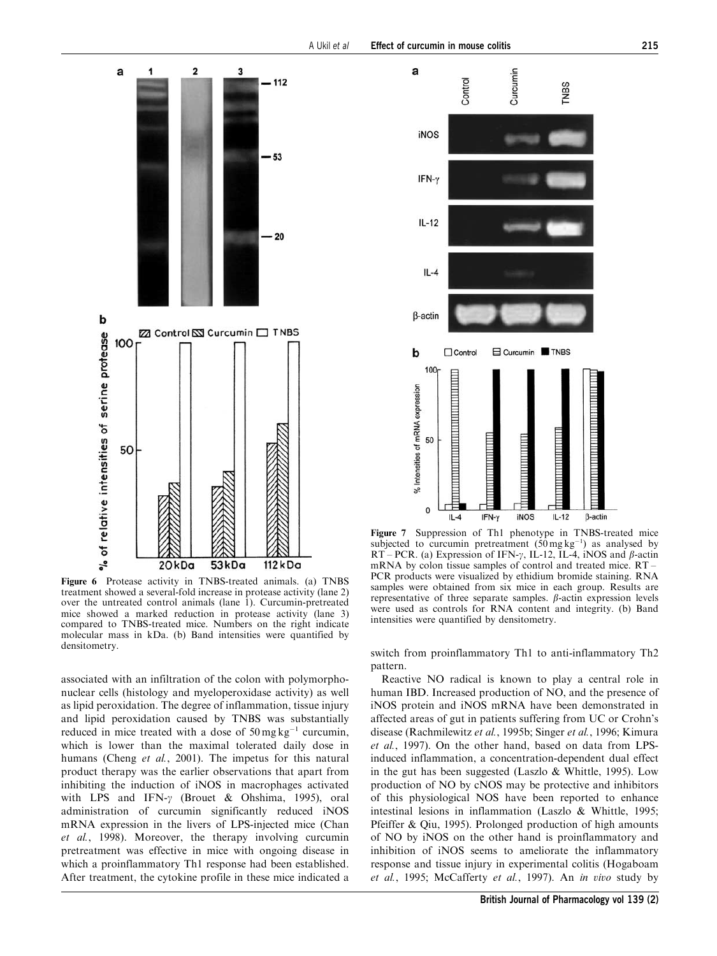

Figure 6 Protease activity in TNBS-treated animals. (a) TNBS treatment showed a several-fold increase in protease activity (lane 2) over the untreated control animals (lane 1). Curcumin-pretreated mice showed a marked reduction in protease activity (lane 3) compared to TNBS-treated mice. Numbers on the right indicate molecular mass in kDa. (b) Band intensities were quantified by densitometry.

associated with an infiltration of the colon with polymorphonuclear cells (histology and myeloperoxidase activity) as well as lipid peroxidation. The degree of inflammation, tissue injury and lipid peroxidation caused by TNBS was substantially reduced in mice treated with a dose of  $50 \text{ mg kg}^{-1}$  curcumin, which is lower than the maximal tolerated daily dose in humans (Cheng et al., 2001). The impetus for this natural product therapy was the earlier observations that apart from inhibiting the induction of iNOS in macrophages activated with LPS and IFN- $\gamma$  (Brouet & Ohshima, 1995), oral administration of curcumin significantly reduced iNOS mRNA expression in the livers of LPS-injected mice (Chan et al., 1998). Moreover, the therapy involving curcumin pretreatment was effective in mice with ongoing disease in which a proinflammatory Th1 response had been established. After treatment, the cytokine profile in these mice indicated a



Figure 7 Suppression of Th1 phenotype in TNBS-treated mice subjected to curcumin pretreatment  $(50 \text{ mg kg}^{-1})$  as analysed by  $RT$  – PCR. (a) Expression of IFN- $\gamma$ , IL-12, IL-4, iNOS and  $\beta$ -actin mRNA by colon tissue samples of control and treated mice. RT – PCR products were visualized by ethidium bromide staining. RNA samples were obtained from six mice in each group. Results are representative of three separate samples.  $\beta$ -actin expression levels were used as controls for RNA content and integrity. (b) Band intensities were quantified by densitometry.

switch from proinflammatory Th1 to anti-inflammatory Th2 pattern.

Reactive NO radical is known to play a central role in human IBD. Increased production of NO, and the presence of iNOS protein and iNOS mRNA have been demonstrated in affected areas of gut in patients suffering from UC or Crohn's disease (Rachmilewitz et al., 1995b; Singer et al., 1996; Kimura et al., 1997). On the other hand, based on data from LPSinduced inflammation, a concentration-dependent dual effect in the gut has been suggested (Laszlo & Whittle, 1995). Low production of NO by cNOS may be protective and inhibitors of this physiological NOS have been reported to enhance intestinal lesions in inflammation (Laszlo & Whittle, 1995; Pfeiffer & Qiu, 1995). Prolonged production of high amounts of NO by iNOS on the other hand is proinflammatory and inhibition of iNOS seems to ameliorate the inflammatory response and tissue injury in experimental colitis (Hogaboam et al., 1995; McCafferty et al., 1997). An in vivo study by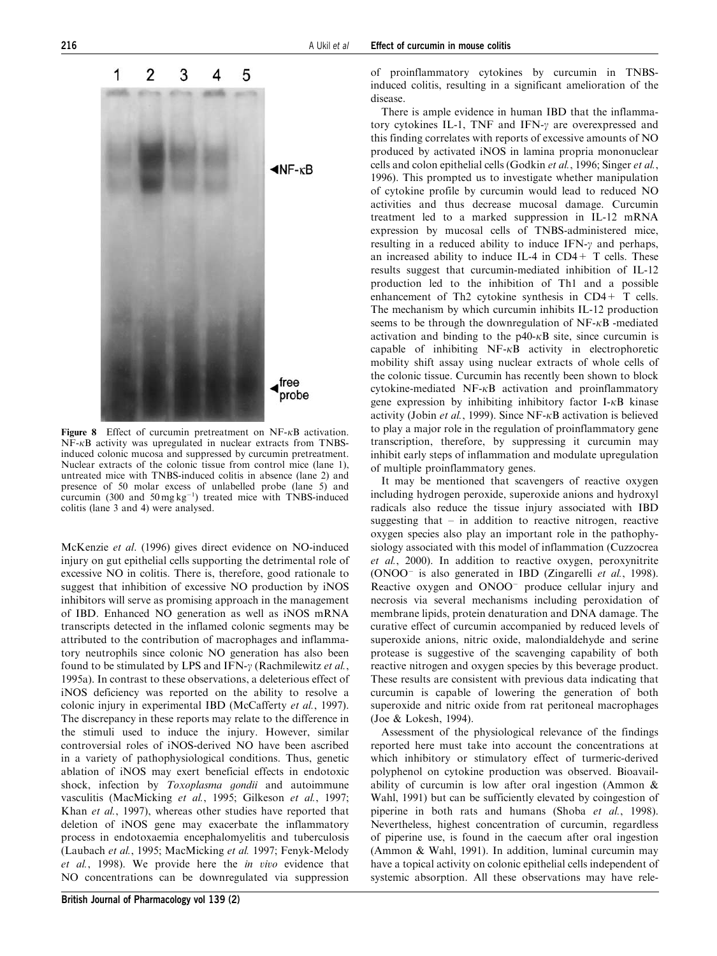

Figure 8 Effect of curcumin pretreatment on  $NF-\kappa B$  activation. NF-kB activity was upregulated in nuclear extracts from TNBSinduced colonic mucosa and suppressed by curcumin pretreatment. Nuclear extracts of the colonic tissue from control mice (lane 1), untreated mice with TNBS-induced colitis in absence (lane 2) and presence of 50 molar excess of unlabelled probe (lane 5) and curcumin (300 and  $50 \text{ mg kg}^{-1}$ ) treated mice with TNBS-induced colitis (lane 3 and 4) were analysed.

McKenzie et al. (1996) gives direct evidence on NO-induced injury on gut epithelial cells supporting the detrimental role of excessive NO in colitis. There is, therefore, good rationale to suggest that inhibition of excessive NO production by iNOS inhibitors will serve as promising approach in the management of IBD. Enhanced NO generation as well as iNOS mRNA transcripts detected in the inflamed colonic segments may be attributed to the contribution of macrophages and inflammatory neutrophils since colonic NO generation has also been found to be stimulated by LPS and IFN- $\gamma$  (Rachmilewitz *et al.*, 1995a). In contrast to these observations, a deleterious effect of iNOS deficiency was reported on the ability to resolve a colonic injury in experimental IBD (McCafferty et al., 1997). The discrepancy in these reports may relate to the difference in the stimuli used to induce the injury. However, similar controversial roles of iNOS-derived NO have been ascribed in a variety of pathophysiological conditions. Thus, genetic ablation of iNOS may exert beneficial effects in endotoxic shock, infection by Toxoplasma gondii and autoimmune vasculitis (MacMicking et al., 1995; Gilkeson et al., 1997; Khan et al., 1997), whereas other studies have reported that deletion of iNOS gene may exacerbate the inflammatory process in endotoxaemia encephalomyelitis and tuberculosis (Laubach et al., 1995; MacMicking et al. 1997; Fenyk-Melody et al., 1998). We provide here the in vivo evidence that NO concentrations can be downregulated via suppression of proinflammatory cytokines by curcumin in TNBSinduced colitis, resulting in a significant amelioration of the disease.

There is ample evidence in human IBD that the inflammatory cytokines IL-1, TNF and IFN- $\gamma$  are overexpressed and this finding correlates with reports of excessive amounts of NO produced by activated iNOS in lamina propria mononuclear cells and colon epithelial cells (Godkin et al., 1996; Singer et al., 1996). This prompted us to investigate whether manipulation of cytokine profile by curcumin would lead to reduced NO activities and thus decrease mucosal damage. Curcumin treatment led to a marked suppression in IL-12 mRNA expression by mucosal cells of TNBS-administered mice, resulting in a reduced ability to induce  $IFN-\gamma$  and perhaps, an increased ability to induce IL-4 in  $CD4+T$  cells. These results suggest that curcumin-mediated inhibition of IL-12 production led to the inhibition of Th1 and a possible enhancement of Th2 cytokine synthesis in CD4+ T cells. The mechanism by which curcumin inhibits IL-12 production seems to be through the downregulation of  $NF-\kappa B$  -mediated activation and binding to the  $p40-\kappa B$  site, since curcumin is capable of inhibiting  $NF-\kappa B$  activity in electrophoretic mobility shift assay using nuclear extracts of whole cells of the colonic tissue. Curcumin has recently been shown to block cytokine-mediated  $NF-\kappa B$  activation and proinflammatory gene expression by inhibiting inhibitory factor  $I - \kappa B$  kinase activity (Jobin et al., 1999). Since NF- $\kappa$ B activation is believed to play a major role in the regulation of proinflammatory gene transcription, therefore, by suppressing it curcumin may inhibit early steps of inflammation and modulate upregulation of multiple proinflammatory genes.

It may be mentioned that scavengers of reactive oxygen including hydrogen peroxide, superoxide anions and hydroxyl radicals also reduce the tissue injury associated with IBD suggesting that  $-$  in addition to reactive nitrogen, reactive oxygen species also play an important role in the pathophysiology associated with this model of inflammation (Cuzzocrea et al., 2000). In addition to reactive oxygen, peroxynitrite (ONOO is also generated in IBD (Zingarelli et al., 1998). Reactive oxygen and ONOO<sup>-</sup> produce cellular injury and necrosis via several mechanisms including peroxidation of membrane lipids, protein denaturation and DNA damage. The curative effect of curcumin accompanied by reduced levels of superoxide anions, nitric oxide, malondialdehyde and serine protease is suggestive of the scavenging capability of both reactive nitrogen and oxygen species by this beverage product. These results are consistent with previous data indicating that curcumin is capable of lowering the generation of both superoxide and nitric oxide from rat peritoneal macrophages (Joe & Lokesh, 1994).

Assessment of the physiological relevance of the findings reported here must take into account the concentrations at which inhibitory or stimulatory effect of turmeric-derived polyphenol on cytokine production was observed. Bioavailability of curcumin is low after oral ingestion (Ammon & Wahl, 1991) but can be sufficiently elevated by coingestion of piperine in both rats and humans (Shoba et al., 1998). Nevertheless, highest concentration of curcumin, regardless of piperine use, is found in the caecum after oral ingestion (Ammon & Wahl, 1991). In addition, luminal curcumin may have a topical activity on colonic epithelial cells independent of systemic absorption. All these observations may have rele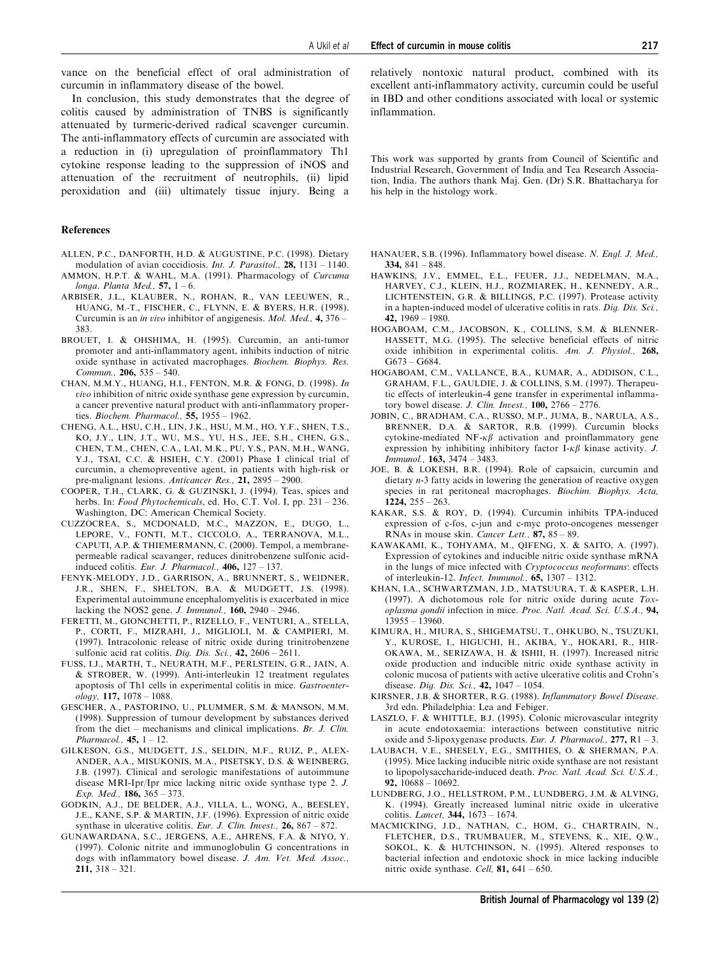vance on the beneficial effect of oral administration of curcumin in inflammatory disease of the bowel.

In conclusion, this study demonstrates that the degree of colitis caused by administration of TNBS is significantly attenuated by turmeric-derived radical scavenger curcumin. The anti-inflammatory effects of curcumin are associated with a reduction in (i) upregulation of proinflammatory Th1 cytokine response leading to the suppression of iNOS and attenuation of the recruitment of neutrophils, (ii) lipid peroxidation and (iii) ultimately tissue injury. Being a

#### References

- ALLEN, P.C., DANFORTH, H.D. & AUGUSTINE, P.C. (1998). Dietary modulation of avian coccidiosis. Int. J. Parasitol., 28, 1131 – 1140.
- AMMON, H.P.T. & WAHL, M.A. (1991). Pharmacology of Curcuma longa. Planta Med.,  $57$ ,  $1 - 6$ .
- ARBISER, J.L., KLAUBER, N., ROHAN, R., VAN LEEUWEN, R., HUANG, M.-T., FISCHER, C., FLYNN, E. & BYERS, H.R. (1998). Curcumin is an in vivo inhibitor of angigenesis. Mol. Med., 4, 376 – 383.
- BROUET, I. & OHSHIMA, H. (1995). Curcumin, an anti-tumor promoter and anti-inflammatory agent, inhibits induction of nitric oxide synthase in activated macrophages. Biochem. Biophys. Res. Commun., 206, 535 – 540.
- CHAN, M.M.Y., HUANG, H.I., FENTON, M.R. & FONG, D. (1998). In vivo inhibition of nitric oxide synthase gene expression by curcumin, a cancer preventive natural product with anti-inflammatory properties. Biochem. Pharmacol., 55, 1955 – 1962.
- CHENG, A.L., HSU, C.H., LIN, J.K., HSU, M.M., HO, Y.F., SHEN, T.S., KO, J.Y., LIN, J.T., WU, M.S., YU, H.S., JEE, S.H., CHEN, G.S., CHEN, T.M., CHEN, C.A., LAI, M.K., PU, Y.S., PAN, M.H., WANG, Y.J., TSAI, C.C. & HSIEH, C.Y. (2001) Phase I clinical trial of curcumin, a chemopreventive agent, in patients with high-risk or pre-malignant lesions. Anticancer Res., 21, 2895 – 2900.
- COOPER, T.H., CLARK, G. & GUZINSKI, J. (1994). Teas, spices and herbs. In: Food Phytochemicals, ed. Ho, C.T. Vol. I, pp. 231 - 236. Washington, DC: American Chemical Society.
- CUZZOCREA, S., MCDONALD, M.C., MAZZON, E., DUGO, L., LEPORE, V., FONTI, M.T., CICCOLO, A., TERRANOVA, M.L., CAPUTI, A.P. & THIEMERMANN, C. (2000). Tempol, a membranepermeable radical scavanger, reduces dinitrobenzene sulfonic acidinduced colitis. Eur. J. Pharmacol.,  $406$ ,  $127 - 137$ .
- FENYK-MELODY, J.D., GARRISON, A., BRUNNERT, S., WEIDNER, J.R., SHEN, F., SHELTON, B.A. & MUDGETT, J.S. (1998). Experimental autoimmune encephalomyelitis is exacerbated in mice lacking the NOS2 gene. *J. Immunol.*,  $160$ ,  $2940 - 2946$ .
- FERETTI, M., GIONCHETTI, P., RIZELLO, F., VENTURI, A., STELLA, P., CORTI, F., MIZRAHI, J., MIGLIOLI, M. & CAMPIERI, M. (1997). Intracolonic release of nitric oxide during trinitrobenzene sulfonic acid rat colitis. Dig. Dis. Sci.,  $42$ ,  $2606 - 2611$ .
- FUSS, I.J., MARTH, T., NEURATH, M.F., PERLSTEIN, G.R., JAIN, A. & STROBER, W. (1999). Anti-interleukin 12 treatment regulates apoptosis of Th1 cells in experimental colitis in mice. Gastroenter $ology, 117, 1078 - 1088.$
- GESCHER, A., PASTORINO, U., PLUMMER, S.M. & MANSON, M.M. (1998). Suppression of tumour development by substances derived from the diet – mechanisms and clinical implications. Br. J. Clin. Pharmacol.,  $45$ ,  $1 - 12$ .
- GILKESON, G.S., MUDGETT, J.S., SELDIN, M.F., RUIZ, P., ALEX-ANDER, A.A., MISUKONIS, M.A., PISETSKY, D.S. & WEINBERG, J.B. (1997). Clinical and serologic manifestations of autoimmune disease MRI-Ipr/Ipr mice lacking nitric oxide synthase type 2. J. Exp. Med., 186, 365 – 373.
- GODKIN, A.J., DE BELDER, A.J., VILLA, L., WONG, A., BEESLEY, J.E., KANE, S.P. & MARTIN, J.F. (1996). Expression of nitric oxide synthase in ulcerative colitis. Eur. J. Clin. Invest., 26,  $867 - 872$ .
- GUNAWARDANA, S.C., JERGENS, A.E., AHRENS, F.A. & NIYO, Y. (1997). Colonic nitrite and immunoglobulin G concentrations in dogs with inflammatory bowel disease. J. Am. Vet. Med. Assoc., 211, 318 – 321.

relatively nontoxic natural product, combined with its excellent anti-inflammatory activity, curcumin could be useful in IBD and other conditions associated with local or systemic inflammation.

This work was supported by grants from Council of Scientific and Industrial Research, Government of India and Tea Research Association, India. The authors thank Maj. Gen. (Dr) S.R. Bhattacharya for his help in the histology work.

- HANAUER, S.B. (1996). Inflammatory bowel disease. N. Engl. J. Med., 334,  $841 - 848$ .
- HAWKINS, J.V., EMMEL, E.L., FEUER, J.J., NEDELMAN, M.A., HARVEY, C.J., KLEIN, H.J., ROZMIAREK, H., KENNEDY, A.R., LICHTENSTEIN, G.R. & BILLINGS, P.C. (1997). Protease activity in a hapten-induced model of ulcerative colitis in rats. Dig. Dis. Sci., 42,  $1969 - 1980$
- HOGABOAM, C.M., JACOBSON, K., COLLINS, S.M. & BLENNER-HASSETT, M.G. (1995). The selective beneficial effects of nitric oxide inhibition in experimental colitis. Am. J. Physiol., 268, G673 – G684.
- HOGABOAM, C.M., VALLANCE, B.A., KUMAR, A., ADDISON, C.L., GRAHAM, F.L., GAULDIE, J. & COLLINS, S.M. (1997). Therapeutic effects of interleukin-4 gene transfer in experimental inflammatory bowel disease. J. Clin. Invest.,  $100$ ,  $2766 - 2776$ .
- JOBIN, C., BRADHAM, C.A., RUSSO, M.P., JUMA, B., NARULA, A.S., BRENNER, D.A. & SARTOR, R.B. (1999). Curcumin blocks cytokine-mediated NF- $\kappa\beta$  activation and proinflammatory gene expression by inhibiting inhibitory factor I- $\kappa\beta$  kinase activity. J. Immunol., 163, 3474 – 3483.
- JOE, B. & LOKESH, B.R. (1994). Role of capsaicin, curcumin and dietary n-3 fatty acids in lowering the generation of reactive oxygen species in rat peritoneal macrophages. Biochim. Biophys. Acta, 1224, 255 – 263.
- KAKAR, S.S. & ROY, D. (1994). Curcumin inhibits TPA-induced expression of c-fos, c-jun and c-myc proto-oncogenes messenger RNAs in mouse skin. Cancer Lett., 87, 85 – 89.
- KAWAKAMI, K., TOHYAMA, M., QIFENG, X. & SAITO, A. (1997). Expression of cytokines and inducible nitric oxide synthase mRNA in the lungs of mice infected with Cryptococcus neoformans: effects of interleukin-12. *Infect. Immunol* 65, 1307 – 1312.
- KHAN, I.A., SCHWARTZMAN, J.D., MATSUURA, T. & KASPER, L.H. (1997). A dichotomous role for nitric oxide during acute  $T_{OX}$ oplasma gondii infection in mice. Proc. Natl. Acad. Sci. U.S.A., 94, 13955 – 13960.
- KIMURA, H., MIURA, S., SHIGEMATSU, T., OHKUBO, N., TSUZUKI, Y., KUROSE, I., HIGUCHI, H., AKIBA, Y., HOKARI, R., HIR-OKAWA, M., SERIZAWA, H. & ISHII, H. (1997). Increased nitric oxide production and inducible nitric oxide synthase activity in colonic mucosa of patients with active ulcerative colitis and Crohn's disease. *Dig. Dis. Sci.*, **42**, 1047 - 1054.
- KIRSNER, J.B. & SHORTER, R.G. (1988). Inflammatory Bowel Disease. 3rd edn. Philadelphia: Lea and Febiger.
- LASZLO, F. & WHITTLE, B.J. (1995). Colonic microvascular integrity in acute endotoxaemia: interactions between constitutive nitric oxide and 5-lipoxygenase products. Eur. J. Pharmacol.,  $277$ , R1 – 3.
- LAUBACH, V.E., SHESELY, E.G., SMITHIES, O. & SHERMAN, P.A. (1995). Mice lacking inducible nitric oxide synthase are not resistant to lipopolysaccharide-induced death. Proc. Natl. Acad. Sci. U.S.A., 92, 10688 – 10692.
- LUNDBERG, J.O., HELLSTROM, P.M., LUNDBERG, J.M. & ALVING, K. (1994). Greatly increased luminal nitric oxide in ulcerative colitis. Lancet, 344, 1673 – 1674.
- MACMICKING, J.D., NATHAN, C., HOM, G., CHARTRAIN, N., FLETCHER, D.S., TRUMBAUER, M., STEVENS, K., XIE, Q.W., SOKOL, K. & HUTCHINSON, N. (1995). Altered responses to bacterial infection and endotoxic shock in mice lacking inducible nitric oxide synthase. Cell,  $81, 641 - 650$ .